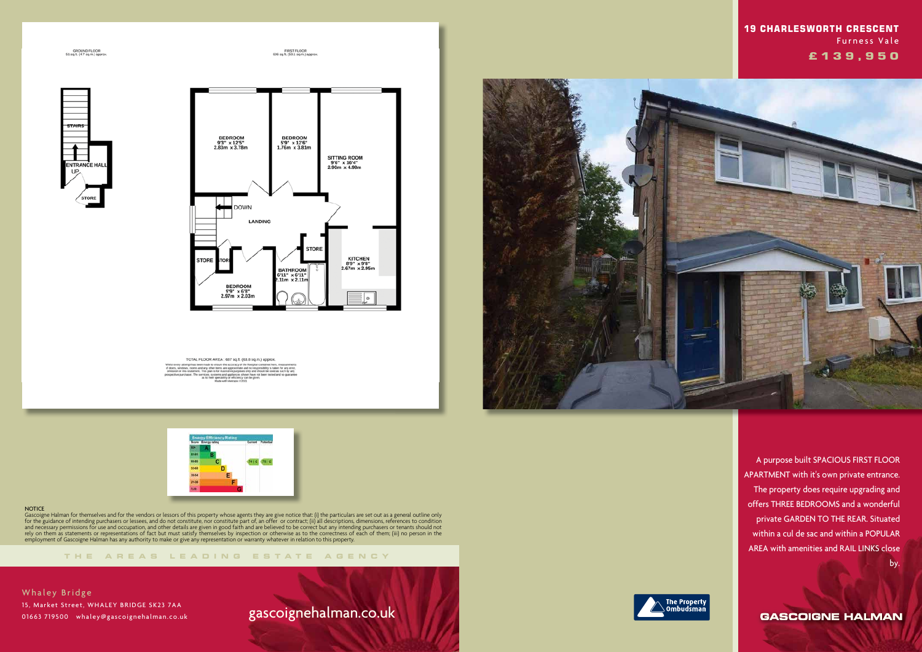GROUND FLOOR<br>51 sq.ft. (4.7 sq.m.) approx

FIRST FLOOR<br>636 sq.ft. (50.1 sq.m.) approx.





TOTAL FLOOR AREA : 687 sq.ft. (63.8 sq.m.) approx



### **NOTICE**

**THE AREA S LEADING ES T A TE A G E N C Y**

Gascoigne Halman for themselves and for the vendors or lessors of this property whose agents they are give notice that: (i) the particulars are set out as a general outline only for the guidance of intending purchasers or lessees, and do not constitute, nor constitute part of, an offer or contract; (ii) all descriptions, dimensions, references to condition and necessary permissions for use and occupation, and other details are given in good faith and are believed to be correct but any intending purchasers or tenants should not rely on them as statements or representations of fact but must satisfy themselves by inspection or otherwise as to the correctness of each of them; (iii) no person in the employment of Gascoigne Halman has any authority to make or give any representation or warranty whatever in relation to this property.

Whaley Bridge 15, Market Street, WHALEY BRIDGE SK23 7AA 01663 719500 whaley@gascoignehalman.co.uk

# gascoignehalman.co.uk





 A purpose built SPACIOUS FIRST FLOOR APARTMENT with it's own private entrance. The property does require upgrading and offers THREE BEDROOMS and a wonderful private GARDEN TO THE REAR. Situated within a cul de sac and within a POPULAR AREA with amenities and RAIL LINKS close by.

**GASCOIGNE HALMAN** 



## **19 CHARLESWORTH CRESCENT**  Furness Vale  **£ 1 3 9 , 9 5 0**